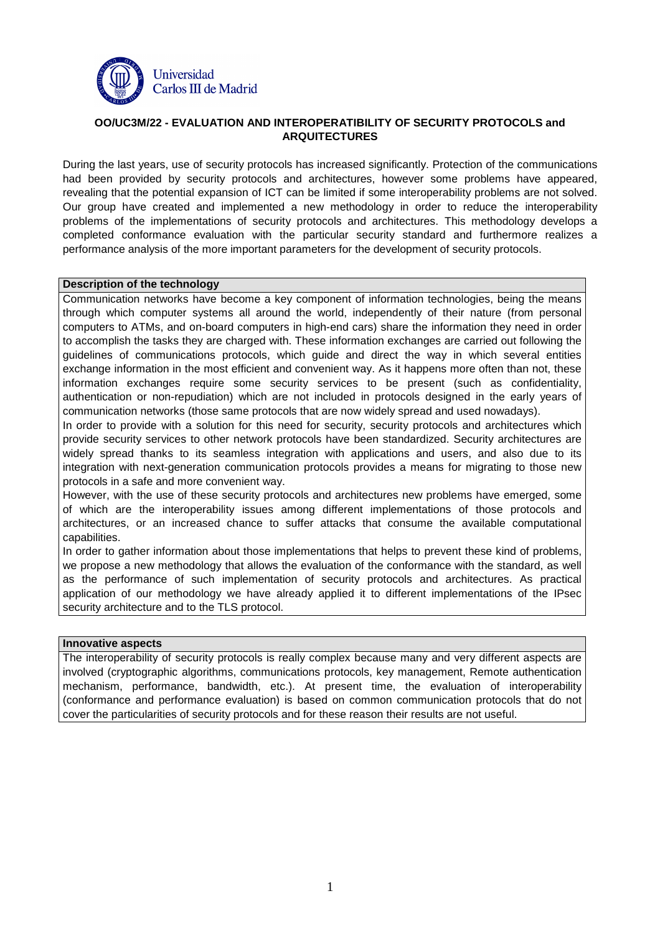

# **OO/UC3M/22 - EVALUATION AND INTEROPERATIBILITY OF SECURITY PROTOCOLS and ARQUITECTURES**

During the last years, use of security protocols has increased significantly. Protection of the communications had been provided by security protocols and architectures, however some problems have appeared, revealing that the potential expansion of ICT can be limited if some interoperability problems are not solved. Our group have created and implemented a new methodology in order to reduce the interoperability problems of the implementations of security protocols and architectures. This methodology develops a completed conformance evaluation with the particular security standard and furthermore realizes a performance analysis of the more important parameters for the development of security protocols.

### **Description of the technology**

Communication networks have become a key component of information technologies, being the means through which computer systems all around the world, independently of their nature (from personal computers to ATMs, and on-board computers in high-end cars) share the information they need in order to accomplish the tasks they are charged with. These information exchanges are carried out following the guidelines of communications protocols, which guide and direct the way in which several entities exchange information in the most efficient and convenient way. As it happens more often than not, these information exchanges require some security services to be present (such as confidentiality, authentication or non-repudiation) which are not included in protocols designed in the early years of communication networks (those same protocols that are now widely spread and used nowadays).

In order to provide with a solution for this need for security, security protocols and architectures which provide security services to other network protocols have been standardized. Security architectures are widely spread thanks to its seamless integration with applications and users, and also due to its integration with next-generation communication protocols provides a means for migrating to those new protocols in a safe and more convenient way.

However, with the use of these security protocols and architectures new problems have emerged, some of which are the interoperability issues among different implementations of those protocols and architectures, or an increased chance to suffer attacks that consume the available computational capabilities.

In order to gather information about those implementations that helps to prevent these kind of problems, we propose a new methodology that allows the evaluation of the conformance with the standard, as well as the performance of such implementation of security protocols and architectures. As practical application of our methodology we have already applied it to different implementations of the IPsec security architecture and to the TLS protocol.

#### **Innovative aspects**

The interoperability of security protocols is really complex because many and very different aspects are involved (cryptographic algorithms, communications protocols, key management, Remote authentication mechanism, performance, bandwidth, etc.). At present time, the evaluation of interoperability (conformance and performance evaluation) is based on common communication protocols that do not cover the particularities of security protocols and for these reason their results are not useful.